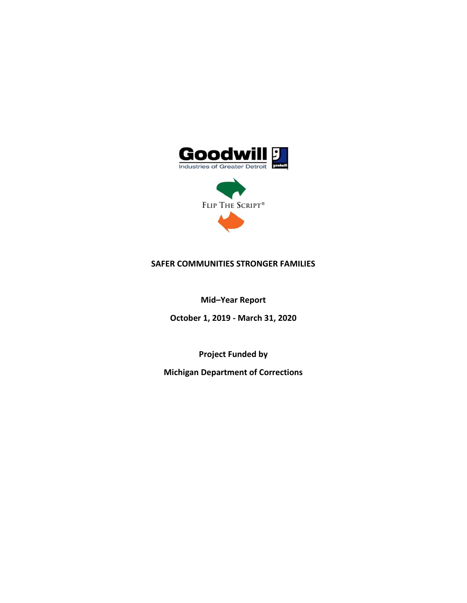

# **SAFER COMMUNITIES STRONGER FAMILIES**

**Mid–Year Report**

**October 1, 2019 - March 31, 2020** 

**Project Funded by**

**Michigan Department of Corrections**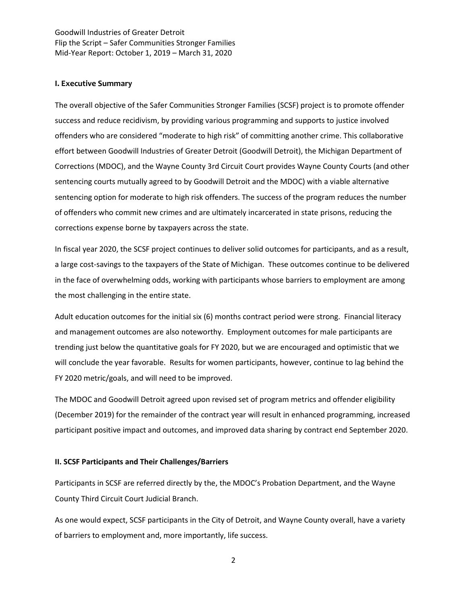#### **I. Executive Summary**

The overall objective of the Safer Communities Stronger Families (SCSF) project is to promote offender success and reduce recidivism, by providing various programming and supports to justice involved offenders who are considered "moderate to high risk" of committing another crime. This collaborative effort between Goodwill Industries of Greater Detroit (Goodwill Detroit), the Michigan Department of Corrections (MDOC), and the Wayne County 3rd Circuit Court provides Wayne County Courts (and other sentencing courts mutually agreed to by Goodwill Detroit and the MDOC) with a viable alternative sentencing option for moderate to high risk offenders. The success of the program reduces the number of offenders who commit new crimes and are ultimately incarcerated in state prisons, reducing the corrections expense borne by taxpayers across the state.

In fiscal year 2020, the SCSF project continues to deliver solid outcomes for participants, and as a result, a large cost-savings to the taxpayers of the State of Michigan. These outcomes continue to be delivered in the face of overwhelming odds, working with participants whose barriers to employment are among the most challenging in the entire state.

Adult education outcomes for the initial six (6) months contract period were strong. Financial literacy and management outcomes are also noteworthy. Employment outcomes for male participants are trending just below the quantitative goals for FY 2020, but we are encouraged and optimistic that we will conclude the year favorable. Results for women participants, however, continue to lag behind the FY 2020 metric/goals, and will need to be improved.

The MDOC and Goodwill Detroit agreed upon revised set of program metrics and offender eligibility (December 2019) for the remainder of the contract year will result in enhanced programming, increased participant positive impact and outcomes, and improved data sharing by contract end September 2020.

#### **II. SCSF Participants and Their Challenges/Barriers**

Participants in SCSF are referred directly by the, the MDOC's Probation Department, and the Wayne County Third Circuit Court Judicial Branch.

As one would expect, SCSF participants in the City of Detroit, and Wayne County overall, have a variety of barriers to employment and, more importantly, life success.

2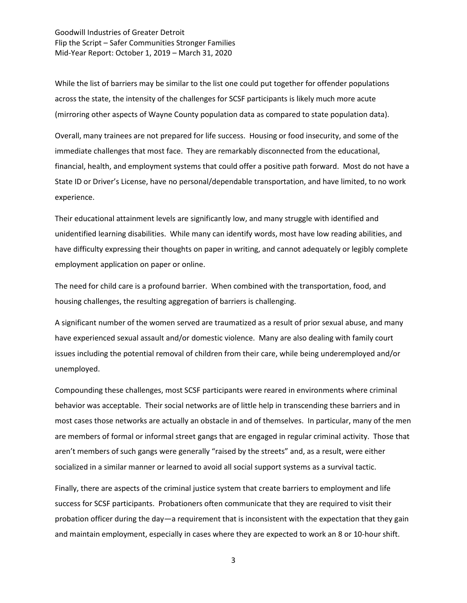While the list of barriers may be similar to the list one could put together for offender populations across the state, the intensity of the challenges for SCSF participants is likely much more acute (mirroring other aspects of Wayne County population data as compared to state population data).

Overall, many trainees are not prepared for life success. Housing or food insecurity, and some of the immediate challenges that most face. They are remarkably disconnected from the educational, financial, health, and employment systems that could offer a positive path forward. Most do not have a State ID or Driver's License, have no personal/dependable transportation, and have limited, to no work experience.

Their educational attainment levels are significantly low, and many struggle with identified and unidentified learning disabilities. While many can identify words, most have low reading abilities, and have difficulty expressing their thoughts on paper in writing, and cannot adequately or legibly complete employment application on paper or online.

The need for child care is a profound barrier. When combined with the transportation, food, and housing challenges, the resulting aggregation of barriers is challenging.

A significant number of the women served are traumatized as a result of prior sexual abuse, and many have experienced sexual assault and/or domestic violence. Many are also dealing with family court issues including the potential removal of children from their care, while being underemployed and/or unemployed.

Compounding these challenges, most SCSF participants were reared in environments where criminal behavior was acceptable. Their social networks are of little help in transcending these barriers and in most cases those networks are actually an obstacle in and of themselves. In particular, many of the men are members of formal or informal street gangs that are engaged in regular criminal activity. Those that aren't members of such gangs were generally "raised by the streets" and, as a result, were either socialized in a similar manner or learned to avoid all social support systems as a survival tactic.

Finally, there are aspects of the criminal justice system that create barriers to employment and life success for SCSF participants. Probationers often communicate that they are required to visit their probation officer during the day—a requirement that is inconsistent with the expectation that they gain and maintain employment, especially in cases where they are expected to work an 8 or 10-hour shift.

3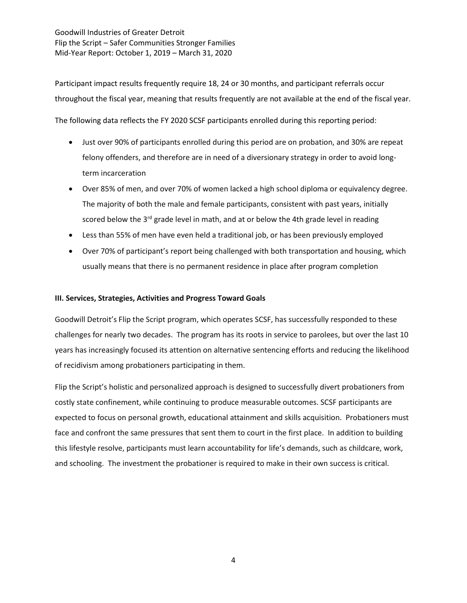Participant impact results frequently require 18, 24 or 30 months, and participant referrals occur throughout the fiscal year, meaning that results frequently are not available at the end of the fiscal year.

The following data reflects the FY 2020 SCSF participants enrolled during this reporting period:

- Just over 90% of participants enrolled during this period are on probation, and 30% are repeat felony offenders, and therefore are in need of a diversionary strategy in order to avoid longterm incarceration
- Over 85% of men, and over 70% of women lacked a high school diploma or equivalency degree. The majority of both the male and female participants, consistent with past years, initially scored below the  $3^{rd}$  grade level in math, and at or below the 4th grade level in reading
- Less than 55% of men have even held a traditional job, or has been previously employed
- Over 70% of participant's report being challenged with both transportation and housing, which usually means that there is no permanent residence in place after program completion

### **III. Services, Strategies, Activities and Progress Toward Goals**

Goodwill Detroit's Flip the Script program, which operates SCSF, has successfully responded to these challenges for nearly two decades. The program has its roots in service to parolees, but over the last 10 years has increasingly focused its attention on alternative sentencing efforts and reducing the likelihood of recidivism among probationers participating in them.

Flip the Script's holistic and personalized approach is designed to successfully divert probationers from costly state confinement, while continuing to produce measurable outcomes. SCSF participants are expected to focus on personal growth, educational attainment and skills acquisition. Probationers must face and confront the same pressures that sent them to court in the first place. In addition to building this lifestyle resolve, participants must learn accountability for life's demands, such as childcare, work, and schooling. The investment the probationer is required to make in their own success is critical.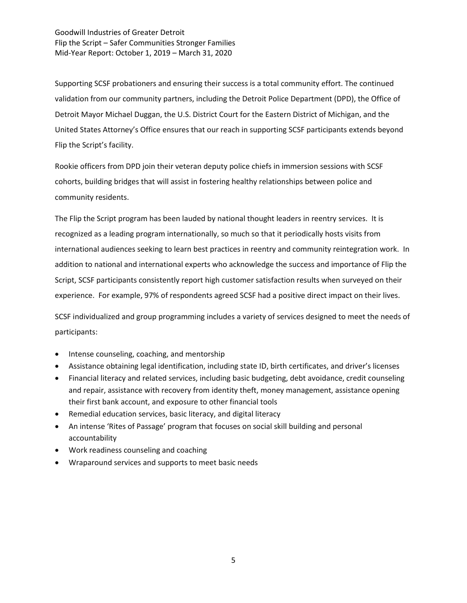Supporting SCSF probationers and ensuring their success is a total community effort. The continued validation from our community partners, including the Detroit Police Department (DPD), the Office of Detroit Mayor Michael Duggan, the U.S. District Court for the Eastern District of Michigan, and the United States Attorney's Office ensures that our reach in supporting SCSF participants extends beyond Flip the Script's facility.

Rookie officers from DPD join their veteran deputy police chiefs in immersion sessions with SCSF cohorts, building bridges that will assist in fostering healthy relationships between police and community residents.

The Flip the Script program has been lauded by national thought leaders in reentry services. It is recognized as a leading program internationally, so much so that it periodically hosts visits from international audiences seeking to learn best practices in reentry and community reintegration work. In addition to national and international experts who acknowledge the success and importance of Flip the Script, SCSF participants consistently report high customer satisfaction results when surveyed on their experience. For example, 97% of respondents agreed SCSF had a positive direct impact on their lives.

SCSF individualized and group programming includes a variety of services designed to meet the needs of participants:

- Intense counseling, coaching, and mentorship
- Assistance obtaining legal identification, including state ID, birth certificates, and driver's licenses
- Financial literacy and related services, including basic budgeting, debt avoidance, credit counseling and repair, assistance with recovery from identity theft, money management, assistance opening their first bank account, and exposure to other financial tools
- Remedial education services, basic literacy, and digital literacy
- An intense 'Rites of Passage' program that focuses on social skill building and personal accountability
- Work readiness counseling and coaching
- Wraparound services and supports to meet basic needs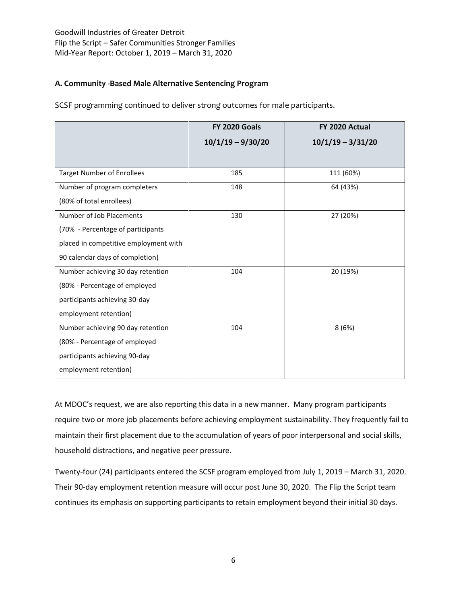# **A. Community -Based Male Alternative Sentencing Program**

|                                       | <b>FY 2020 Goals</b> | FY 2020 Actual      |
|---------------------------------------|----------------------|---------------------|
|                                       | $10/1/19 - 9/30/20$  | $10/1/19 - 3/31/20$ |
|                                       |                      |                     |
| <b>Target Number of Enrollees</b>     | 185                  | 111 (60%)           |
| Number of program completers          | 148                  | 64 (43%)            |
| (80% of total enrollees)              |                      |                     |
| Number of Job Placements              | 130                  | 27 (20%)            |
| (70% - Percentage of participants     |                      |                     |
| placed in competitive employment with |                      |                     |
| 90 calendar days of completion)       |                      |                     |
| Number achieving 30 day retention     | 104                  | 20 (19%)            |
| (80% - Percentage of employed         |                      |                     |
| participants achieving 30-day         |                      |                     |
| employment retention)                 |                      |                     |
| Number achieving 90 day retention     | 104                  | 8(6%)               |
| (80% - Percentage of employed         |                      |                     |
| participants achieving 90-day         |                      |                     |
| employment retention)                 |                      |                     |

SCSF programming continued to deliver strong outcomes for male participants.

At MDOC's request, we are also reporting this data in a new manner. Many program participants require two or more job placements before achieving employment sustainability. They frequently fail to maintain their first placement due to the accumulation of years of poor interpersonal and social skills, household distractions, and negative peer pressure.

Twenty-four (24) participants entered the SCSF program employed from July 1, 2019 – March 31, 2020. Their 90-day employment retention measure will occur post June 30, 2020. The Flip the Script team continues its emphasis on supporting participants to retain employment beyond their initial 30 days.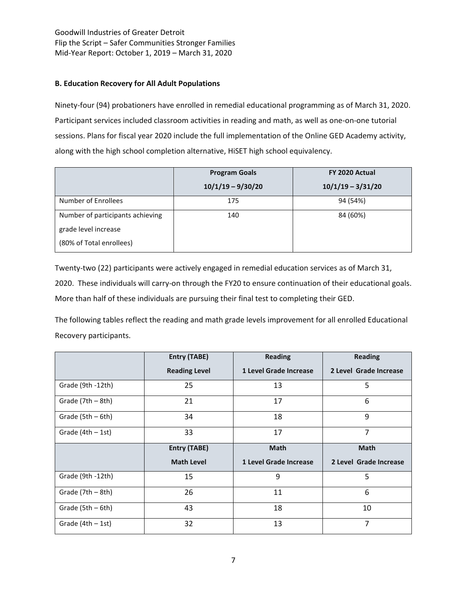## **B. Education Recovery for All Adult Populations**

Ninety-four (94) probationers have enrolled in remedial educational programming as of March 31, 2020. Participant services included classroom activities in reading and math, as well as one-on-one tutorial sessions. Plans for fiscal year 2020 include the full implementation of the Online GED Academy activity, along with the high school completion alternative, HiSET high school equivalency.

|                                  | <b>Program Goals</b> | FY 2020 Actual      |  |
|----------------------------------|----------------------|---------------------|--|
|                                  | $10/1/19 - 9/30/20$  | $10/1/19 - 3/31/20$ |  |
| Number of Enrollees              | 175                  | 94 (54%)            |  |
| Number of participants achieving | 140                  | 84 (60%)            |  |
| grade level increase             |                      |                     |  |
| (80% of Total enrollees)         |                      |                     |  |

Twenty-two (22) participants were actively engaged in remedial education services as of March 31, 2020. These individuals will carry-on through the FY20 to ensure continuation of their educational goals. More than half of these individuals are pursuing their final test to completing their GED.

The following tables reflect the reading and math grade levels improvement for all enrolled Educational Recovery participants.

|                     | <b>Entry (TABE)</b>  | <b>Reading</b>         | <b>Reading</b>         |
|---------------------|----------------------|------------------------|------------------------|
|                     | <b>Reading Level</b> | 1 Level Grade Increase | 2 Level Grade Increase |
| Grade (9th -12th)   | 25                   | 13                     | 5                      |
| Grade (7th - 8th)   | 21                   | 17                     | 6                      |
| Grade (5th - 6th)   | 34                   | 18                     | 9                      |
| Grade $(4th - 1st)$ | 33                   | 17                     | 7                      |
|                     | <b>Entry (TABE)</b>  | <b>Math</b>            | <b>Math</b>            |
|                     | <b>Math Level</b>    | 1 Level Grade Increase | 2 Level Grade Increase |
|                     |                      |                        |                        |
| Grade (9th -12th)   | 15                   | 9                      | 5                      |
| Grade (7th - 8th)   | 26                   | 11                     | 6                      |
| Grade (5th - 6th)   | 43                   | 18                     | 10                     |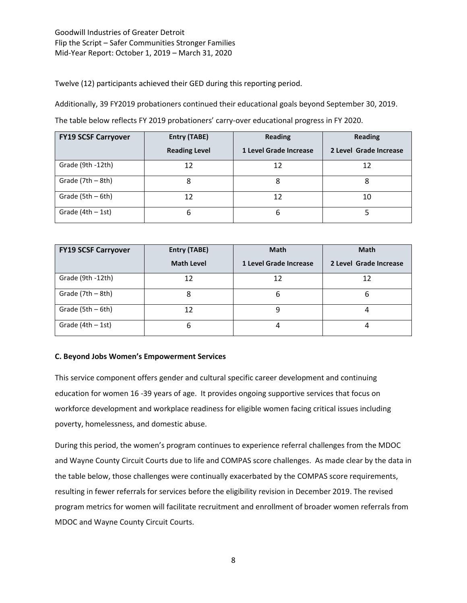Twelve (12) participants achieved their GED during this reporting period.

Additionally, 39 FY2019 probationers continued their educational goals beyond September 30, 2019.

The table below reflects FY 2019 probationers' carry-over educational progress in FY 2020.

| <b>FY19 SCSF Carryover</b> | Entry (TABE)         | <b>Reading</b>         | <b>Reading</b>         |
|----------------------------|----------------------|------------------------|------------------------|
|                            | <b>Reading Level</b> | 1 Level Grade Increase | 2 Level Grade Increase |
| Grade (9th -12th)          | 12                   | 12                     | 12                     |
| Grade (7th - 8th)          | 8                    | 8                      | 8                      |
| Grade (5th - 6th)          | 12                   | 12                     | 10                     |
| Grade $(4th - 1st)$        | 6                    | 6                      |                        |

| <b>FY19 SCSF Carryover</b> | Entry (TABE)      | <b>Math</b>            | <b>Math</b>            |
|----------------------------|-------------------|------------------------|------------------------|
|                            | <b>Math Level</b> | 1 Level Grade Increase | 2 Level Grade Increase |
| Grade (9th -12th)          | 12                | 12                     | 12                     |
| Grade (7th - 8th)          | 8                 | 6                      | ь                      |
| Grade (5th - 6th)          | 12                | 9                      |                        |
| Grade $(4th - 1st)$        | 6                 | 4                      |                        |

### **C. Beyond Jobs Women's Empowerment Services**

This service component offers gender and cultural specific career development and continuing education for women 16 -39 years of age. It provides ongoing supportive services that focus on workforce development and workplace readiness for eligible women facing critical issues including poverty, homelessness, and domestic abuse.

During this period, the women's program continues to experience referral challenges from the MDOC and Wayne County Circuit Courts due to life and COMPAS score challenges. As made clear by the data in the table below, those challenges were continually exacerbated by the COMPAS score requirements, resulting in fewer referrals for services before the eligibility revision in December 2019. The revised program metrics for women will facilitate recruitment and enrollment of broader women referrals from MDOC and Wayne County Circuit Courts.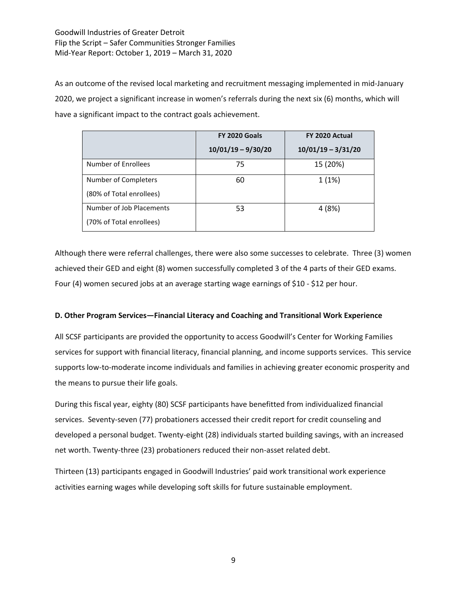As an outcome of the revised local marketing and recruitment messaging implemented in mid-January 2020, we project a significant increase in women's referrals during the next six (6) months, which will have a significant impact to the contract goals achievement.

|                                                      | <b>FY 2020 Goals</b> | FY 2020 Actual       |  |
|------------------------------------------------------|----------------------|----------------------|--|
|                                                      | $10/01/19 - 9/30/20$ | $10/01/19 - 3/31/20$ |  |
| Number of Enrollees                                  | 75                   | 15 (20%)             |  |
| Number of Completers<br>(80% of Total enrollees)     | 60                   | 1(1%)                |  |
| Number of Job Placements<br>(70% of Total enrollees) | 53                   | 4(8%)                |  |

Although there were referral challenges, there were also some successes to celebrate. Three (3) women achieved their GED and eight (8) women successfully completed 3 of the 4 parts of their GED exams. Four (4) women secured jobs at an average starting wage earnings of \$10 - \$12 per hour.

### **D. Other Program Services—Financial Literacy and Coaching and Transitional Work Experience**

All SCSF participants are provided the opportunity to access Goodwill's Center for Working Families services for support with financial literacy, financial planning, and income supports services. This service supports low-to-moderate income individuals and families in achieving greater economic prosperity and the means to pursue their life goals.

During this fiscal year, eighty (80) SCSF participants have benefitted from individualized financial services. Seventy-seven (77) probationers accessed their credit report for credit counseling and developed a personal budget. Twenty-eight (28) individuals started building savings, with an increased net worth. Twenty-three (23) probationers reduced their non-asset related debt.

Thirteen (13) participants engaged in Goodwill Industries' paid work transitional work experience activities earning wages while developing soft skills for future sustainable employment.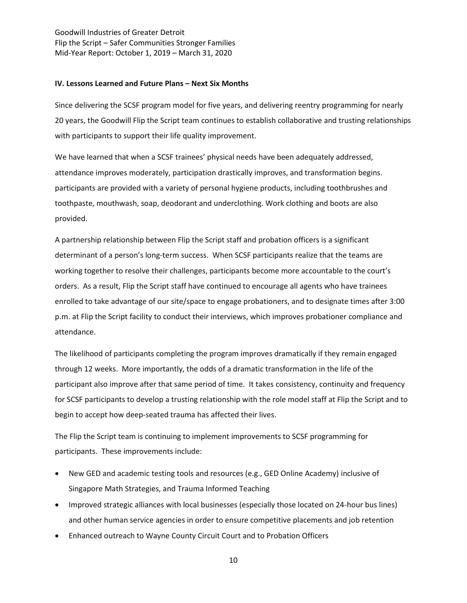#### **IV. Lessons Learned and Future Plans – Next Six Months**

Since delivering the SCSF program model for five years, and delivering reentry programming for nearly 20 years, the Goodwill Flip the Script team continues to establish collaborative and trusting relationships with participants to support their life quality improvement.

We have learned that when a SCSF trainees' physical needs have been adequately addressed, attendance improves moderately, participation drastically improves, and transformation begins. participants are provided with a variety of personal hygiene products, including toothbrushes and toothpaste, mouthwash, soap, deodorant and underclothing. Work clothing and boots are also provided.

A partnership relationship between Flip the Script staff and probation officers is a significant determinant of a person's long-term success. When SCSF participants realize that the teams are working together to resolve their challenges, participants become more accountable to the court's orders. As a result, Flip the Script staff have continued to encourage all agents who have trainees enrolled to take advantage of our site/space to engage probationers, and to designate times after 3:00 p.m. at Flip the Script facility to conduct their interviews, which improves probationer compliance and attendance.

The likelihood of participants completing the program improves dramatically if they remain engaged through 12 weeks. More importantly, the odds of a dramatic transformation in the life of the participant also improve after that same period of time. It takes consistency, continuity and frequency for SCSF participants to develop a trusting relationship with the role model staff at Flip the Script and to begin to accept how deep-seated trauma has affected their lives.

The Flip the Script team is continuing to implement improvements to SCSF programming for participants. These improvements include:

- New GED and academic testing tools and resources (e.g., GED Online Academy) inclusive of Singapore Math Strategies, and Trauma Informed Teaching
- Improved strategic alliances with local businesses (especially those located on 24-hour bus lines) and other human service agencies in order to ensure competitive placements and job retention
- Enhanced outreach to Wayne County Circuit Court and to Probation Officers

10